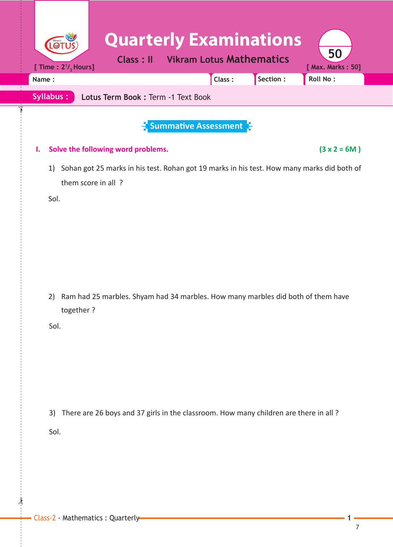| LOT                                                                                                                            | <b>Quarterly Examinations</b>                    |          |                         |
|--------------------------------------------------------------------------------------------------------------------------------|--------------------------------------------------|----------|-------------------------|
| <b>Class: II</b><br>[ Time : $2^{1}/_{2}$ Hours]                                                                               | <b>Vikram Lotus Mathematics</b>                  |          | 50<br>[ Max. Marks: 50] |
| Name:                                                                                                                          | Class:                                           | Section: | Roll No:                |
| <b>Syllabus:</b><br>Lotus Term Book: Term -1 Text Book                                                                         |                                                  |          |                         |
|                                                                                                                                | $\frac{1}{2}$ Summative Assessment $\frac{1}{2}$ |          |                         |
| Solve the following word problems.<br>ı.                                                                                       |                                                  |          | $(3 x 2 = 6M)$          |
| Sohan got 25 marks in his test. Rohan got 19 marks in his test. How many marks did both of<br>1)<br>them score in all?<br>Sol. |                                                  |          |                         |
| Ram had 25 marbles. Shyam had 34 marbles. How many marbles did both of them have<br>2)<br>together?<br>Sol.                    |                                                  |          |                         |
| There are 26 boys and 37 girls in the classroom. How many children are there in all?<br>3)<br>Sol.                             |                                                  |          |                         |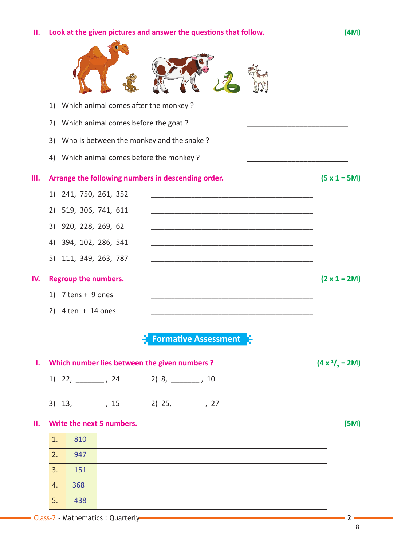**II.** Look at the given pictures and answer the questions that follow. (4M)

|     | Which animal comes after the monkey?<br>1)         |                     |
|-----|----------------------------------------------------|---------------------|
|     | Which animal comes before the goat?<br>2)          |                     |
|     | Who is between the monkey and the snake?<br>3)     |                     |
|     | Which animal comes before the monkey?<br>4)        |                     |
| Ш.  | Arrange the following numbers in descending order. | $(5 x 1 = 5M)$      |
|     | 241, 750, 261, 352<br>1)                           |                     |
|     | 519, 306, 741, 611<br>2)                           |                     |
|     | 920, 228, 269, 62<br>3)                            |                     |
|     | 394, 102, 286, 541<br>4)                           |                     |
|     | 111, 349, 263, 787<br>5)                           |                     |
| IV. | <b>Regroup the numbers.</b>                        | $(2 \times 1 = 2M)$ |
|     | 7 tens + 9 ones<br>1)                              |                     |
|     | $4 \text{ ten } + 14 \text{ ones}$<br>2)           |                     |
|     | <b>Formative Assessment</b>                        |                     |
| ı.  | Which number lies between the given numbers?       | $(4 x1/2 = 2M)$     |
|     | 1) 22, _________, 24<br>2) 8, _______, 10          |                     |
|     | 3) 13, _________, 15<br>2) 25, _______, 27         |                     |
| П.  | Write the next 5 numbers.                          | (5M)                |
|     | 1.<br>810                                          |                     |
|     | 2.<br>947                                          |                     |
|     | 3.<br>151                                          |                     |
|     | 368<br>4.                                          |                     |
|     | 5.<br>438                                          |                     |
|     | - Class-2 - Mathematics : Quarterly-               | $2 -$               |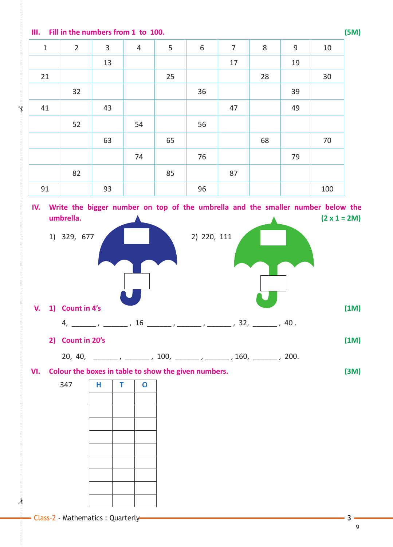**III. Fill in the numbers from 1 to 100. (5M)**

| $\mathbf 1$ | $\overline{2}$ | $\mathbf{3}$ | $\overline{4}$ | 5  | $\,$ 6 $\,$ | $\overline{7}$ | $\,8\,$ | $\boldsymbol{9}$ | 10  |
|-------------|----------------|--------------|----------------|----|-------------|----------------|---------|------------------|-----|
|             |                | 13           |                |    |             | 17             |         | 19               |     |
| 21          |                |              |                | 25 |             |                | 28      |                  | 30  |
|             | 32             |              |                |    | 36          |                |         | 39               |     |
| 41          |                | 43           |                |    |             | 47             |         | 49               |     |
|             | 52             |              | 54             |    | 56          |                |         |                  |     |
|             |                | 63           |                | 65 |             |                | 68      |                  | 70  |
|             |                |              | 74             |    | 76          |                |         | 79               |     |
|             | 82             |              |                | 85 |             | 87             |         |                  |     |
| 91          |                | 93           |                |    | 96          |                |         |                  | 100 |

**IV. Write the bigger number on top of the umbrella and the smaller number below the umbrella.** (2 x 1 = 2M)



20, 40, \_\_\_\_\_\_ , \_\_\_\_\_\_ , 100, \_\_\_\_\_\_ , \_\_\_\_\_\_ , 160, \_\_\_\_\_\_ , 200.

**VI. Colour the boxes in table to show the given numbers. (3M)**

 $\star$ 

✁

| 347 | Н | T | $\mathbf 0$ |
|-----|---|---|-------------|
|     |   |   |             |
|     |   |   |             |
|     |   |   |             |
|     |   |   |             |
|     |   |   |             |
|     |   |   |             |
|     |   |   |             |
|     |   |   |             |
|     |   |   |             |